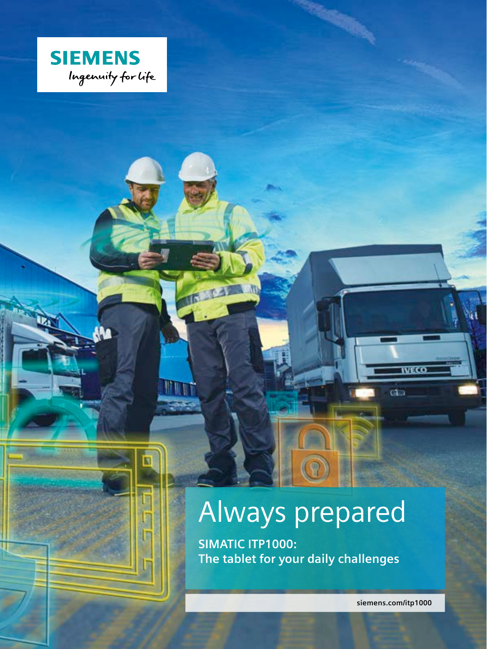

# Always prepared

**SIMATIC ITP1000: The tablet for your daily challenges**

**siemens.com/itp1000**

wccc

d.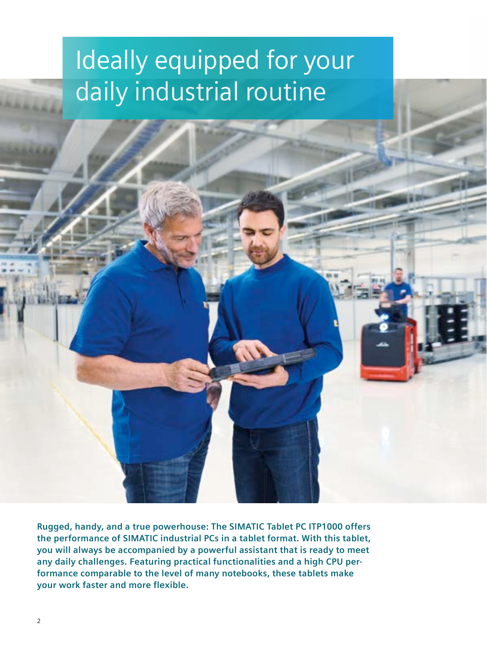## Ideally equipped for your daily industrial routine

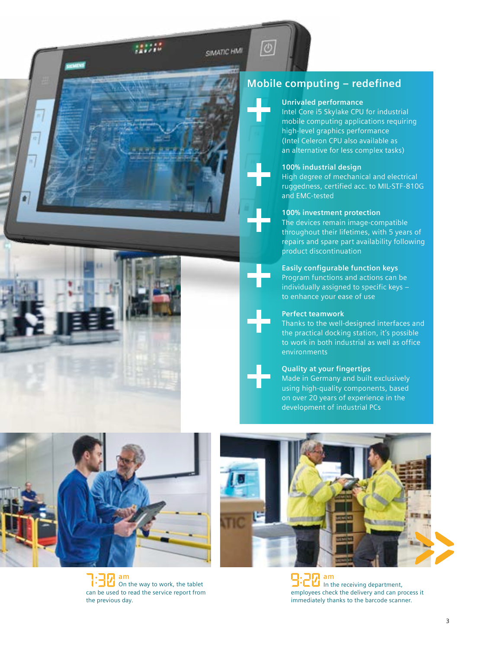**SIMATIC HMT** 



### **Mobile computing – redefined**

#### **Unrivaled performance**

Intel Core i5 Skylake CPU for industrial mobile computing applications requiring high-level graphics performance (Intel Celeron CPU also available as an alternative for less complex tasks)

#### **100% industrial design**

High degree of mechanical and electrical ruggedness, certified acc. to MIL-STF-810G and EMC-tested

#### **100% investment protection**

The devices remain image-compatible throughout their lifetimes, with 5 years of repairs and spare part availability following product discontinuation

#### **Easily configurable function keys**

Program functions and actions can be individually assigned to specific keys – to enhance your ease of use

#### **Perfect teamwork**

Thanks to the well-designed interfaces and the practical docking station, it's possible to work in both industrial as well as office environments

#### **Quality at your fingertips**

Made in Germany and built exclusively using high-quality components, based on over 20 years of experience in the development of industrial PCs



On the way to work, the tablet can be used to read the service report from the previous day. **am am**



 $\sum_{i=1}^{n}$  am<br> $\sum_{i=1}^{n}$  in the receiving department, employees check the delivery and can process it immediately thanks to the barcode scanner.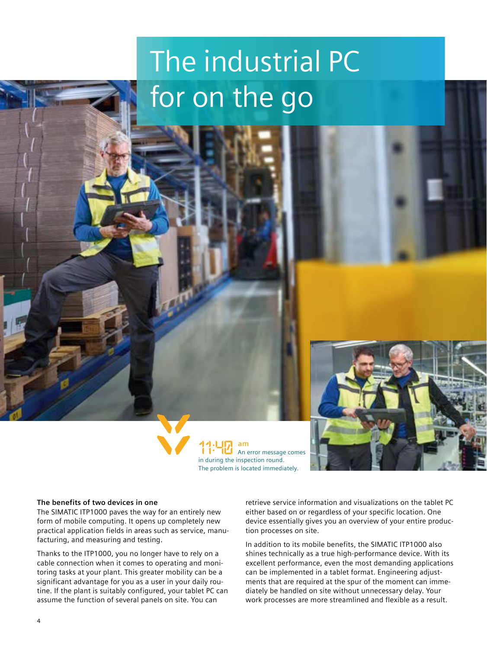# The industrial PC for on the go





#### **The benefits of two devices in one**

The SIMATIC ITP1000 paves the way for an entirely new form of mobile computing. It opens up completely new practical application fields in areas such as service, manufacturing, and measuring and testing.

Thanks to the ITP1000, you no longer have to rely on a cable connection when it comes to operating and monitoring tasks at your plant. This greater mobility can be a significant advantage for you as a user in your daily routine. If the plant is suitably configured, your tablet PC can assume the function of several panels on site. You can

retrieve service information and visualizations on the tablet PC either based on or regardless of your specific location. One device essentially gives you an overview of your entire production processes on site.

In addition to its mobile benefits, the SIMATIC ITP1000 also shines technically as a true high-performance device. With its excellent performance, even the most demanding applications can be implemented in a tablet format. Engineering adjustments that are required at the spur of the moment can immediately be handled on site without unnecessary delay. Your work processes are more streamlined and flexible as a result.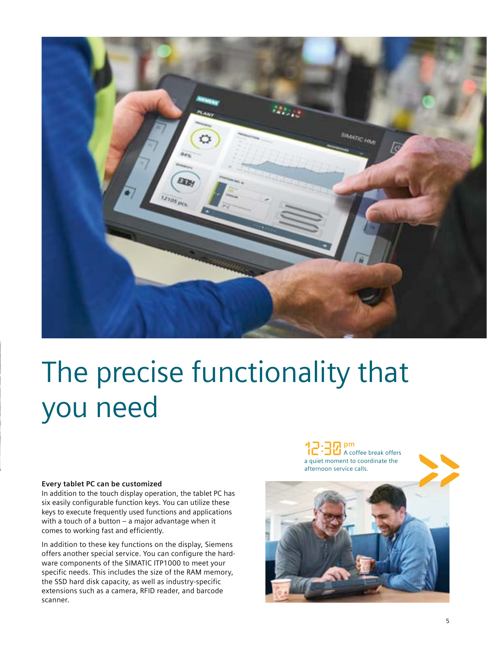

# The precise functionality that you need

#### **Every tablet PC can be customized**

In addition to the touch display operation, the tablet PC has six easily configurable function keys. You can utilize these keys to execute frequently used functions and applications with a touch of a button – a major advantage when it comes to working fast and efficiently.

In addition to these key functions on the display, Siemens offers another special service. You can configure the hardware components of the SIMATIC ITP1000 to meet your specific needs. This includes the size of the RAM memory, the SSD hard disk capacity, as well as industry-specific extensions such as a camera, RFID reader, and barcode scanner.

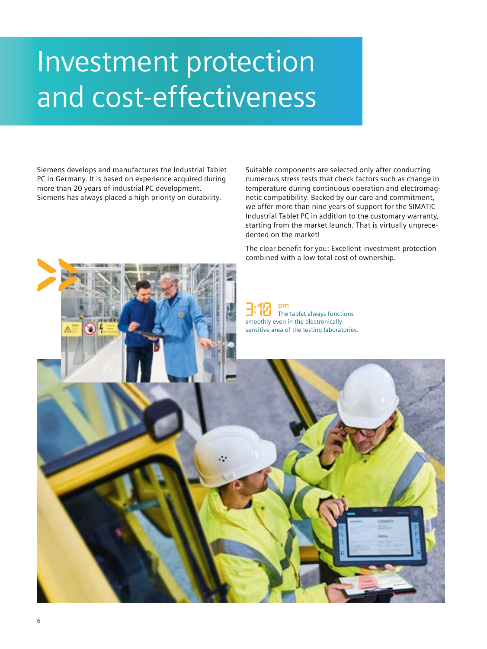## Investment protection and cost-effectiveness

Siemens develops and manufactures the Industrial Tablet PC in Germany. It is based on experience acquired during more than 20 years of industrial PC development. Siemens has always placed a high priority on durability.

Suitable components are selected only after conducting numerous stress tests that check factors such as change in temperature during continuous operation and electromagnetic compatibility. Backed by our care and commitment, we offer more than nine years of support for the SIMATIC Industrial Tablet PC in addition to the customary warranty, starting from the market launch. That is virtually unprecedented on the market!

The clear benefit for you: Excellent investment protection combined with a low total cost of ownership.

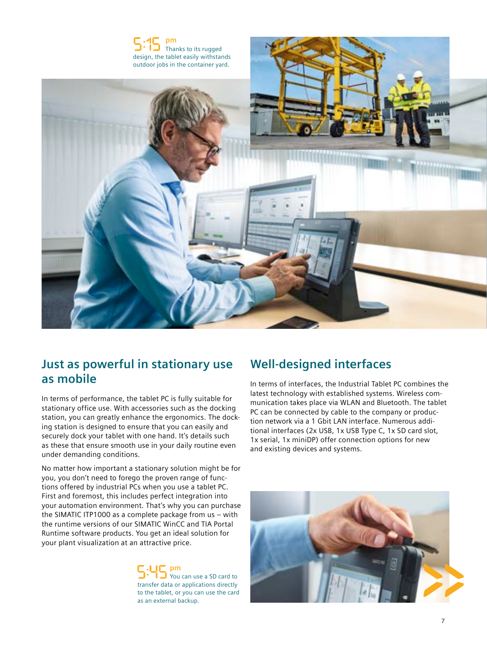

### **Just as powerful in stationary use as mobile**

In terms of performance, the tablet PC is fully suitable for stationary office use. With accessories such as the docking station, you can greatly enhance the ergonomics. The docking station is designed to ensure that you can easily and securely dock your tablet with one hand. It's details such as these that ensure smooth use in your daily routine even under demanding conditions.

No matter how important a stationary solution might be for you, you don't need to forego the proven range of functions offered by industrial PCs when you use a tablet PC. First and foremost, this includes perfect integration into your automation environment. That's why you can purchase the SIMATIC ITP1000 as a complete package from us – with the runtime versions of our SIMATIC WinCC and TIA Portal Runtime software products. You get an ideal solution for your plant visualization at an attractive price.

#### You can use a SD card to transfer data or applications directly to the tablet, or you can use the card as an external backup. **pm**

## **Well-designed interfaces**

In terms of interfaces, the Industrial Tablet PC combines the latest technology with established systems. Wireless communication takes place via WLAN and Bluetooth. The tablet PC can be connected by cable to the company or production network via a 1 Gbit LAN interface. Numerous additional interfaces (2x USB, 1x USB Type C, 1x SD card slot, 1x serial, 1x miniDP) offer connection options for new and existing devices and systems.